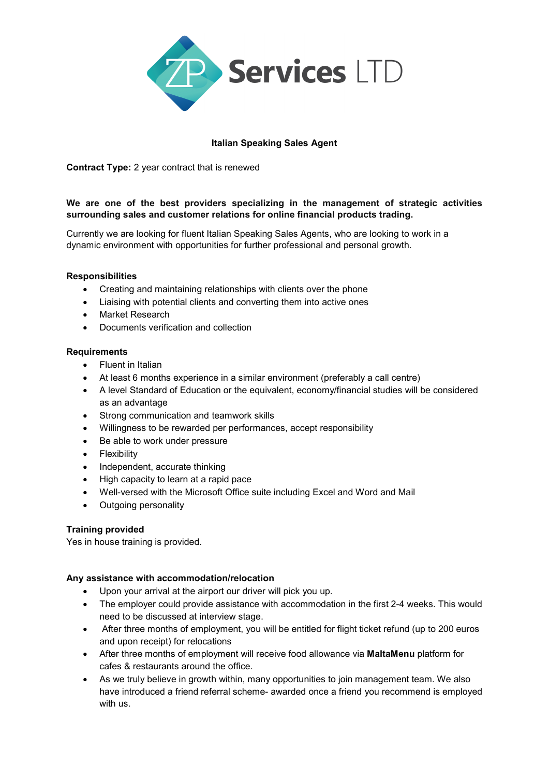

# Italian Speaking Sales Agent

Contract Type: 2 year contract that is renewed

### We are one of the best providers specializing in the management of strategic activities surrounding sales and customer relations for online financial products trading.

Currently we are looking for fluent Italian Speaking Sales Agents, who are looking to work in a dynamic environment with opportunities for further professional and personal growth.

#### Responsibilities

- Creating and maintaining relationships with clients over the phone
- Liaising with potential clients and converting them into active ones
- Market Research
- Documents verification and collection

#### **Requirements**

- Fluent in Italian
- At least 6 months experience in a similar environment (preferably a call centre)
- A level Standard of Education or the equivalent, economy/financial studies will be considered as an advantage
- Strong communication and teamwork skills
- Willingness to be rewarded per performances, accept responsibility
- Be able to work under pressure
- Flexibility
- Independent, accurate thinking
- High capacity to learn at a rapid pace
- Well-versed with the Microsoft Office suite including Excel and Word and Mail
- Outgoing personality

### Training provided

Yes in house training is provided.

#### Any assistance with accommodation/relocation

- Upon your arrival at the airport our driver will pick you up.
- The employer could provide assistance with accommodation in the first 2-4 weeks. This would need to be discussed at interview stage.
- After three months of employment, you will be entitled for flight ticket refund (up to 200 euros and upon receipt) for relocations
- After three months of employment will receive food allowance via MaltaMenu platform for cafes & restaurants around the office.
- As we truly believe in growth within, many opportunities to join management team. We also have introduced a friend referral scheme- awarded once a friend you recommend is employed with us.